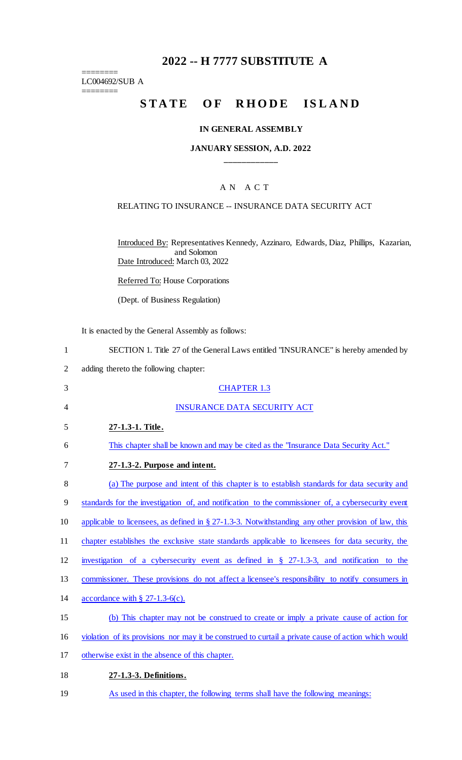## **2022 -- H 7777 SUBSTITUTE A**

======== LC004692/SUB A

========

# **STATE OF RHODE ISLAND**

#### **IN GENERAL ASSEMBLY**

#### **JANUARY SESSION, A.D. 2022 \_\_\_\_\_\_\_\_\_\_\_\_**

## A N A C T

#### RELATING TO INSURANCE -- INSURANCE DATA SECURITY ACT

Introduced By: Representatives Kennedy, Azzinaro, Edwards, Diaz, Phillips, Kazarian, and Solomon Date Introduced: March 03, 2022

Referred To: House Corporations

(Dept. of Business Regulation)

It is enacted by the General Assembly as follows:

1 SECTION 1. Title 27 of the General Laws entitled "INSURANCE" is hereby amended by

2 adding thereto the following chapter:

| 3  | <b>CHAPTER 1.3</b>                                                                                   |
|----|------------------------------------------------------------------------------------------------------|
| 4  | <b>INSURANCE DATA SECURITY ACT</b>                                                                   |
| 5  | 27-1.3-1. Title.                                                                                     |
| 6  | This chapter shall be known and may be cited as the "Insurance Data Security Act."                   |
| 7  | 27-1.3-2. Purpose and intent.                                                                        |
| 8  | (a) The purpose and intent of this chapter is to establish standards for data security and           |
| 9  | standards for the investigation of, and notification to the commissioner of, a cybersecurity event   |
| 10 | applicable to licensees, as defined in § 27-1.3-3. Notwithstanding any other provision of law, this  |
| 11 | chapter establishes the exclusive state standards applicable to licensees for data security, the     |
| 12 | investigation of a cybersecurity event as defined in $\S$ 27-1.3-3, and notification to the          |
| 13 | commissioner. These provisions do not affect a licensee's responsibility to notify consumers in      |
| 14 | accordance with $\S$ 27-1.3-6(c).                                                                    |
| 15 | (b) This chapter may not be construed to create or imply a private cause of action for               |
| 16 | violation of its provisions nor may it be construed to curtail a private cause of action which would |
| 17 | otherwise exist in the absence of this chapter.                                                      |
| 18 | 27-1.3-3. Definitions.                                                                               |

19 As used in this chapter, the following terms shall have the following meanings: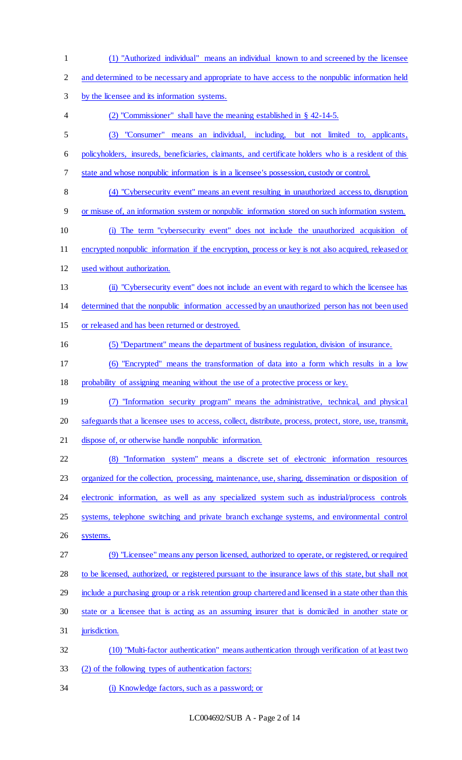(1) "Authorized individual" means an individual known to and screened by the licensee and determined to be necessary and appropriate to have access to the nonpublic information held by the licensee and its information systems. (2) "Commissioner" shall have the meaning established in § 42-14-5. (3) "Consumer" means an individual, including, but not limited to, applicants, policyholders, insureds, beneficiaries, claimants, and certificate holders who is a resident of this state and whose nonpublic information is in a licensee's possession, custody or control. (4) "Cybersecurity event" means an event resulting in unauthorized access to, disruption or misuse of, an information system or nonpublic information stored on such information system. (i) The term "cybersecurity event" does not include the unauthorized acquisition of encrypted nonpublic information if the encryption, process or key is not also acquired, released or used without authorization. (ii) "Cybersecurity event" does not include an event with regard to which the licensee has determined that the nonpublic information accessed by an unauthorized person has not been used or released and has been returned or destroyed. (5) "Department" means the department of business regulation, division of insurance. (6) "Encrypted" means the transformation of data into a form which results in a low probability of assigning meaning without the use of a protective process or key. (7) "Information security program" means the administrative, technical, and physical safeguards that a licensee uses to access, collect, distribute, process, protect, store, use, transmit, dispose of, or otherwise handle nonpublic information. (8) "Information system" means a discrete set of electronic information resources organized for the collection, processing, maintenance, use, sharing, dissemination or disposition of electronic information, as well as any specialized system such as industrial/process controls 25 systems, telephone switching and private branch exchange systems, and environmental control systems. (9) "Licensee" means any person licensed, authorized to operate, or registered, or required to be licensed, authorized, or registered pursuant to the insurance laws of this state, but shall not 29 include a purchasing group or a risk retention group chartered and licensed in a state other than this state or a licensee that is acting as an assuming insurer that is domiciled in another state or jurisdiction. (10) "Multi-factor authentication" means authentication through verification of at least two (2) of the following types of authentication factors: (i) Knowledge factors, such as a password; or

LC004692/SUB A - Page 2 of 14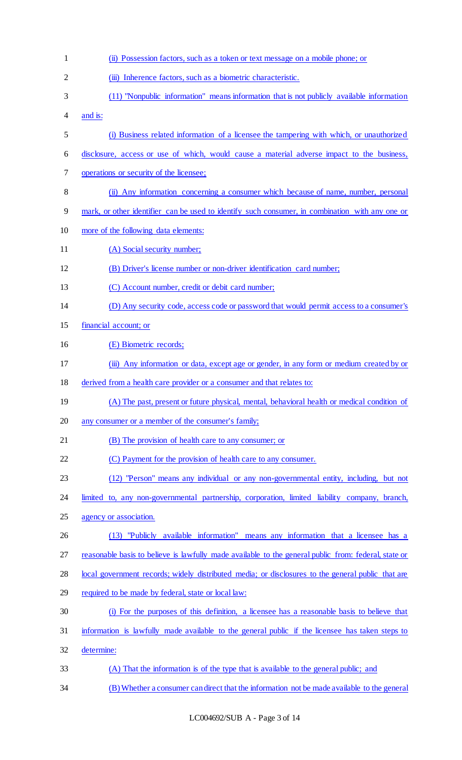| $\mathbf{1}$   | (ii) Possession factors, such as a token or text message on a mobile phone; or                       |
|----------------|------------------------------------------------------------------------------------------------------|
| $\overline{c}$ | (iii) Inherence factors, such as a biometric characteristic.                                         |
| 3              | (11) "Nonpublic information" means information that is not publicly available information            |
| 4              | and is:                                                                                              |
| 5              | (i) Business related information of a licensee the tampering with which, or unauthorized             |
| 6              | disclosure, access or use of which, would cause a material adverse impact to the business,           |
| 7              | operations or security of the licensee;                                                              |
| 8              | (ii) Any information concerning a consumer which because of name, number, personal                   |
| 9              | mark, or other identifier can be used to identify such consumer, in combination with any one or      |
| 10             | more of the following data elements:                                                                 |
| 11             | (A) Social security number;                                                                          |
| 12             | (B) Driver's license number or non-driver identification card number;                                |
| 13             | (C) Account number, credit or debit card number;                                                     |
| 14             | (D) Any security code, access code or password that would permit access to a consumer's              |
| 15             | financial account; or                                                                                |
| 16             | (E) Biometric records;                                                                               |
| 17             | (iii) Any information or data, except age or gender, in any form or medium created by or             |
| 18             | derived from a health care provider or a consumer and that relates to:                               |
| 19             | (A) The past, present or future physical, mental, behavioral health or medical condition of          |
| 20             | any consumer or a member of the consumer's family;                                                   |
| 21             | (B) The provision of health care to any consumer; or                                                 |
| 22             | (C) Payment for the provision of health care to any consumer.                                        |
| 23             | (12) "Person" means any individual or any non-governmental entity, including, but not                |
| 24             | limited to, any non-governmental partnership, corporation, limited liability company, branch,        |
| 25             | agency or association.                                                                               |
| 26             | (13) "Publicly available information" means any information that a licensee has a                    |
| 27             | reasonable basis to believe is lawfully made available to the general public from: federal, state or |
| 28             | local government records; widely distributed media; or disclosures to the general public that are    |
| 29             | required to be made by federal, state or local law:                                                  |
| 30             | (i) For the purposes of this definition, a licensee has a reasonable basis to believe that           |
| 31             | information is lawfully made available to the general public if the licensee has taken steps to      |
| 32             | determine:                                                                                           |
| 33             | (A) That the information is of the type that is available to the general public; and                 |
| 34             | (B) Whether a consumer can direct that the information not be made available to the general          |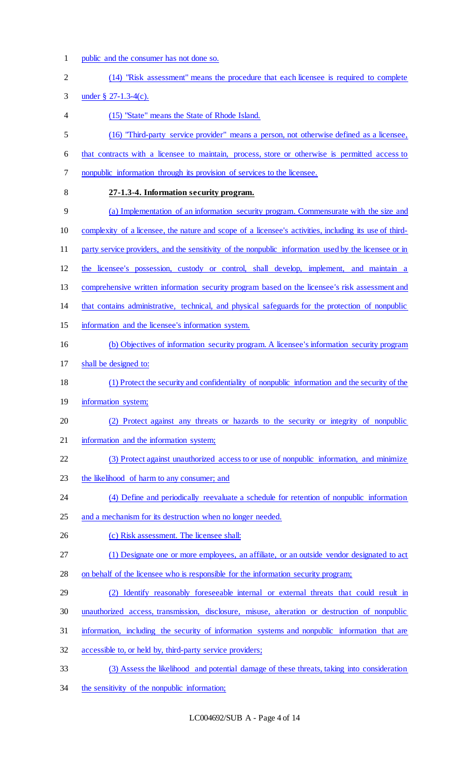1 public and the consumer has not done so.

| $\overline{2}$ | (14) "Risk assessment" means the procedure that each licensee is required to complete                  |
|----------------|--------------------------------------------------------------------------------------------------------|
| 3              | under $\frac{8}{9}$ 27-1.3-4(c).                                                                       |
| 4              | (15) "State" means the State of Rhode Island.                                                          |
| 5              | (16) "Third-party service provider" means a person, not otherwise defined as a licensee,               |
| 6              | that contracts with a licensee to maintain, process, store or otherwise is permitted access to         |
| 7              | nonpublic information through its provision of services to the licensee.                               |
| 8              | 27-1.3-4. Information security program.                                                                |
| 9              | (a) Implementation of an information security program. Commensurate with the size and                  |
| 10             | complexity of a licensee, the nature and scope of a licensee's activities, including its use of third- |
| 11             | party service providers, and the sensitivity of the nonpublic information used by the licensee or in   |
| 12             | the licensee's possession, custody or control, shall develop, implement, and maintain a                |
| 13             | comprehensive written information security program based on the licensee's risk assessment and         |
| 14             | that contains administrative, technical, and physical safeguards for the protection of nonpublic       |
| 15             | information and the licensee's information system.                                                     |
| 16             | (b) Objectives of information security program. A licensee's information security program              |
| 17             | shall be designed to:                                                                                  |
| 18             | (1) Protect the security and confidentiality of nonpublic information and the security of the          |
| 19             | information system;                                                                                    |
| 20             | (2) Protect against any threats or hazards to the security or integrity of nonpublic                   |
| 21             | information and the information system;                                                                |
| 22             | (3) Protect against unauthorized access to or use of nonpublic information, and minimize               |
| 23             | the likelihood of harm to any consumer; and                                                            |
| 24             | (4) Define and periodically reevaluate a schedule for retention of nonpublic information               |
| 25             | and a mechanism for its destruction when no longer needed.                                             |
| 26             | (c) Risk assessment. The licensee shall:                                                               |
| 27             | (1) Designate one or more employees, an affiliate, or an outside vendor designated to act              |
| 28             | on behalf of the licensee who is responsible for the information security program;                     |
| 29             | (2) Identify reasonably foreseeable internal or external threats that could result in                  |
| 30             | unauthorized access, transmission, disclosure, misuse, alteration or destruction of nonpublic          |
| 31             | information, including the security of information systems and nonpublic information that are          |
| 32             | accessible to, or held by, third-party service providers;                                              |
| 33             | (3) Assess the likelihood and potential damage of these threats, taking into consideration             |

34 the sensitivity of the nonpublic information;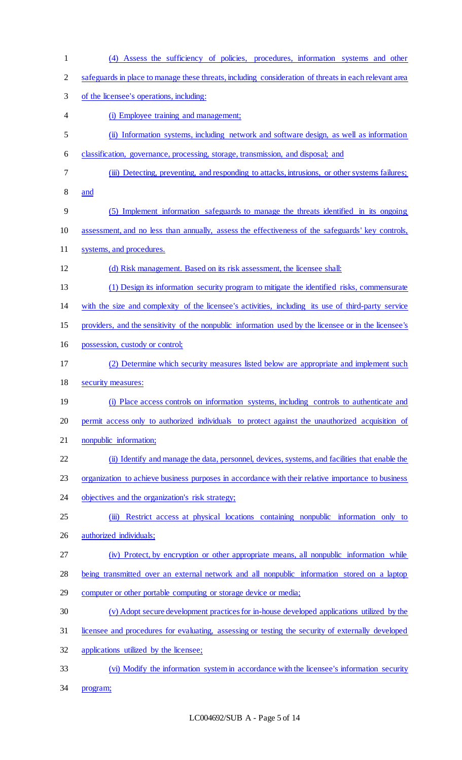(4) Assess the sufficiency of policies, procedures, information systems and other safeguards in place to manage these threats, including consideration of threats in each relevant area of the licensee's operations, including: (i) Employee training and management; (ii) Information systems, including network and software design, as well as information classification, governance, processing, storage, transmission, and disposal; and (iii) Detecting, preventing, and responding to attacks, intrusions, or other systems failures; and (5) Implement information safeguards to manage the threats identified in its ongoing assessment, and no less than annually, assess the effectiveness of the safeguards' key controls, systems, and procedures. (d) Risk management. Based on its risk assessment, the licensee shall: (1) Design its information security program to mitigate the identified risks, commensurate with the size and complexity of the licensee's activities, including its use of third-party service providers, and the sensitivity of the nonpublic information used by the licensee or in the licensee's possession, custody or control; (2) Determine which security measures listed below are appropriate and implement such security measures: (i) Place access controls on information systems, including controls to authenticate and permit access only to authorized individuals to protect against the unauthorized acquisition of nonpublic information; (ii) Identify and manage the data, personnel, devices, systems, and facilities that enable the organization to achieve business purposes in accordance with their relative importance to business 24 objectives and the organization's risk strategy; 25 (iii) Restrict access at physical locations containing nonpublic information only to authorized individuals; (iv) Protect, by encryption or other appropriate means, all nonpublic information while being transmitted over an external network and all nonpublic information stored on a laptop computer or other portable computing or storage device or media; (v) Adopt secure development practices for in-house developed applications utilized by the licensee and procedures for evaluating, assessing or testing the security of externally developed applications utilized by the licensee; (vi) Modify the information system in accordance with the licensee's information security

program;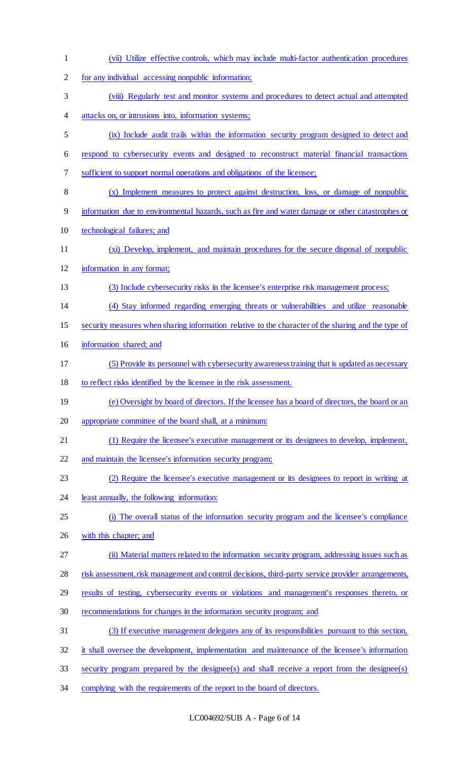(vii) Utilize effective controls, which may include multi-factor authentication procedures for any individual accessing nonpublic information; (viii) Regularly test and monitor systems and procedures to detect actual and attempted attacks on, or intrusions into, information systems; (ix) Include audit trails within the information security program designed to detect and respond to cybersecurity events and designed to reconstruct material financial transactions sufficient to support normal operations and obligations of the licensee; (x) Implement measures to protect against destruction, loss, or damage of nonpublic information due to environmental hazards, such as fire and water damage or other catastrophes or technological failures; and (xi) Develop, implement, and maintain procedures for the secure disposal of nonpublic information in any format; (3) Include cybersecurity risks in the licensee's enterprise risk management process; (4) Stay informed regarding emerging threats or vulnerabilities and utilize reasonable security measures when sharing information relative to the character of the sharing and the type of information shared; and (5) Provide its personnel with cybersecurity awareness training that is updated as necessary to reflect risks identified by the licensee in the risk assessment. (e) Oversight by board of directors. If the licensee has a board of directors, the board or an appropriate committee of the board shall, at a minimum: (1) Require the licensee's executive management or its designees to develop, implement, and maintain the licensee's information security program; (2) Require the licensee's executive management or its designees to report in writing at 24 least annually, the following information: (i) The overall status of the information security program and the licensee's compliance with this chapter; and (ii) Material matters related to the information security program, addressing issues such as risk assessment, risk management and control decisions, third-party service provider arrangements, results of testing, cybersecurity events or violations and management's responses thereto, or recommendations for changes in the information security program; and (3) If executive management delegates any of its responsibilities pursuant to this section, it shall oversee the development, implementation and maintenance of the licensee's information security program prepared by the designee(s) and shall receive a report from the designee(s) 34 complying with the requirements of the report to the board of directors.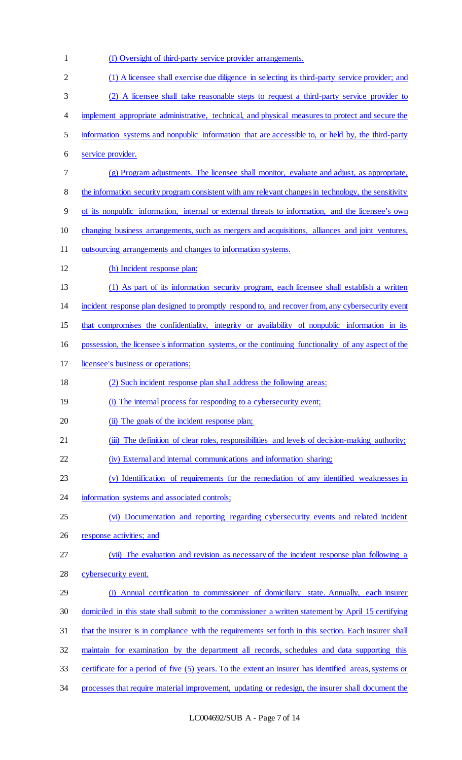(f) Oversight of third-party service provider arrangements. (1) A licensee shall exercise due diligence in selecting its third-party service provider; and (2) A licensee shall take reasonable steps to request a third-party service provider to implement appropriate administrative, technical, and physical measures to protect and secure the information systems and nonpublic information that are accessible to, or held by, the third-party service provider. (g) Program adjustments. The licensee shall monitor, evaluate and adjust, as appropriate, the information security program consistent with any relevant changes in technology, the sensitivity of its nonpublic information, internal or external threats to information, and the licensee's own changing business arrangements, such as mergers and acquisitions, alliances and joint ventures, outsourcing arrangements and changes to information systems. (h) Incident response plan: (1) As part of its information security program, each licensee shall establish a written incident response plan designed to promptly respond to, and recover from, any cybersecurity event that compromises the confidentiality, integrity or availability of nonpublic information in its possession, the licensee's information systems, or the continuing functionality of any aspect of the licensee's business or operations; (2) Such incident response plan shall address the following areas: (i) The internal process for responding to a cybersecurity event; 20 (ii) The goals of the incident response plan; (iii) The definition of clear roles, responsibilities and levels of decision-making authority; (iv) External and internal communications and information sharing; (v) Identification of requirements for the remediation of any identified weaknesses in 24 information systems and associated controls; (vi) Documentation and reporting regarding cybersecurity events and related incident 26 response activities; and (vii) The evaluation and revision as necessary of the incident response plan following a cybersecurity event. (i) Annual certification to commissioner of domiciliary state. Annually, each insurer domiciled in this state shall submit to the commissioner a written statement by April 15 certifying that the insurer is in compliance with the requirements set forth in this section. Each insurer shall maintain for examination by the department all records, schedules and data supporting this certificate for a period of five (5) years. To the extent an insurer has identified areas, systems or processes that require material improvement, updating or redesign, the insurer shall document the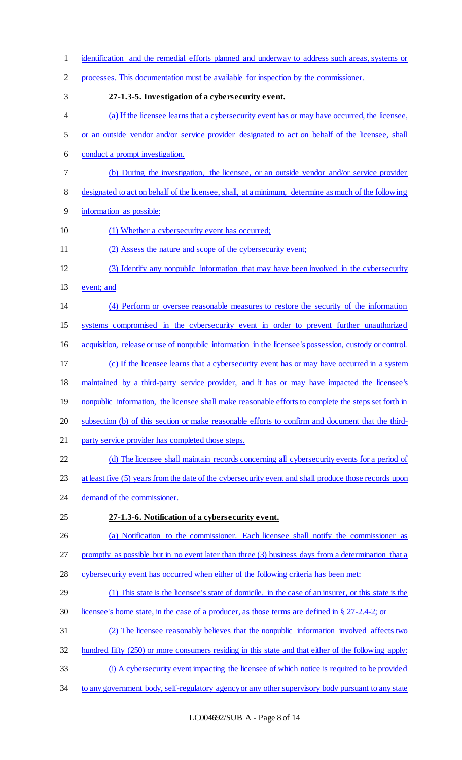identification and the remedial efforts planned and underway to address such areas, systems or processes. This documentation must be available for inspection by the commissioner. **27-1.3-5. Investigation of a cybersecurity event.**  (a) If the licensee learns that a cybersecurity event has or may have occurred, the licensee, or an outside vendor and/or service provider designated to act on behalf of the licensee, shall conduct a prompt investigation. (b) During the investigation, the licensee, or an outside vendor and/or service provider designated to act on behalf of the licensee, shall, at a minimum, determine as much of the following information as possible: (1) Whether a cybersecurity event has occurred; (2) Assess the nature and scope of the cybersecurity event; (3) Identify any nonpublic information that may have been involved in the cybersecurity 13 event; and (4) Perform or oversee reasonable measures to restore the security of the information systems compromised in the cybersecurity event in order to prevent further unauthorized acquisition, release or use of nonpublic information in the licensee's possession, custody or control. (c) If the licensee learns that a cybersecurity event has or may have occurred in a system maintained by a third-party service provider, and it has or may have impacted the licensee's 19 nonpublic information, the licensee shall make reasonable efforts to complete the steps set forth in subsection (b) of this section or make reasonable efforts to confirm and document that the third- party service provider has completed those steps. (d) The licensee shall maintain records concerning all cybersecurity events for a period of at least five (5) years from the date of the cybersecurity event and shall produce those records upon demand of the commissioner. **27-1.3-6. Notification of a cybersecurity event.**  (a) Notification to the commissioner. Each licensee shall notify the commissioner as 27 promptly as possible but in no event later than three (3) business days from a determination that a cybersecurity event has occurred when either of the following criteria has been met: (1) This state is the licensee's state of domicile, in the case of an insurer, or this state is the licensee's home state, in the case of a producer, as those terms are defined in § 27-2.4-2; or (2) The licensee reasonably believes that the nonpublic information involved affects two hundred fifty (250) or more consumers residing in this state and that either of the following apply: (i) A cybersecurity event impacting the licensee of which notice is required to be provided 34 to any government body, self-regulatory agency or any other supervisory body pursuant to any state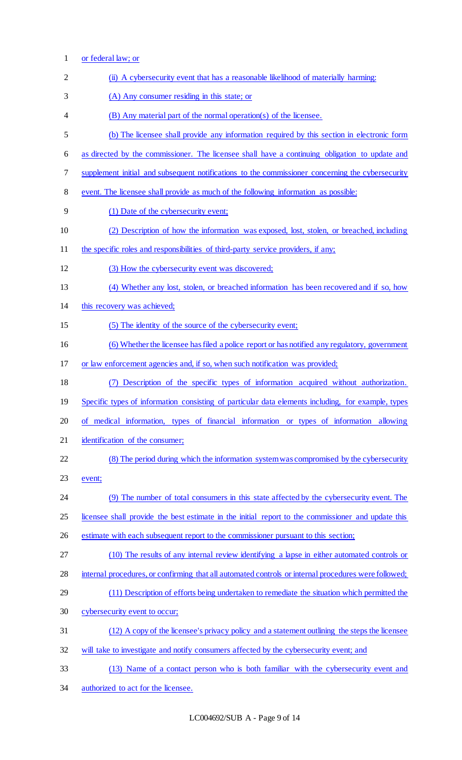- or federal law; or 2 (ii) A cybersecurity event that has a reasonable likelihood of materially harming: (A) Any consumer residing in this state; or (B) Any material part of the normal operation(s) of the licensee. (b) The licensee shall provide any information required by this section in electronic form as directed by the commissioner. The licensee shall have a continuing obligation to update and supplement initial and subsequent notifications to the commissioner concerning the cybersecurity event. The licensee shall provide as much of the following information as possible: (1) Date of the cybersecurity event; (2) Description of how the information was exposed, lost, stolen, or breached, including 11 the specific roles and responsibilities of third-party service providers, if any; (3) How the cybersecurity event was discovered; (4) Whether any lost, stolen, or breached information has been recovered and if so, how this recovery was achieved; (5) The identity of the source of the cybersecurity event; (6) Whether the licensee has filed a police report or has notified any regulatory, government or law enforcement agencies and, if so, when such notification was provided; (7) Description of the specific types of information acquired without authorization. Specific types of information consisting of particular data elements including, for example, types of medical information, types of financial information or types of information allowing identification of the consumer; (8) The period during which the information system was compromised by the cybersecurity event; (9) The number of total consumers in this state affected by the cybersecurity event. The licensee shall provide the best estimate in the initial report to the commissioner and update this estimate with each subsequent report to the commissioner pursuant to this section; (10) The results of any internal review identifying a lapse in either automated controls or internal procedures, or confirming that all automated controls or internal procedures were followed; (11) Description of efforts being undertaken to remediate the situation which permitted the cybersecurity event to occur; (12) A copy of the licensee's privacy policy and a statement outlining the steps the licensee will take to investigate and notify consumers affected by the cybersecurity event; and (13) Name of a contact person who is both familiar with the cybersecurity event and
- authorized to act for the licensee.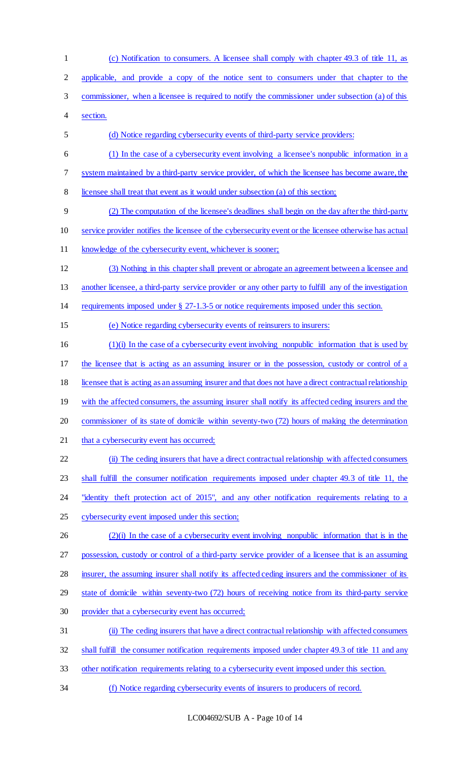(c) Notification to consumers. A licensee shall comply with chapter 49.3 of title 11, as applicable, and provide a copy of the notice sent to consumers under that chapter to the commissioner, when a licensee is required to notify the commissioner under subsection (a) of this section. (d) Notice regarding cybersecurity events of third-party service providers: (1) In the case of a cybersecurity event involving a licensee's nonpublic information in a system maintained by a third-party service provider, of which the licensee has become aware, the licensee shall treat that event as it would under subsection (a) of this section; (2) The computation of the licensee's deadlines shall begin on the day after the third-party service provider notifies the licensee of the cybersecurity event or the licensee otherwise has actual knowledge of the cybersecurity event, whichever is sooner; (3) Nothing in this chapter shall prevent or abrogate an agreement between a licensee and another licensee, a third-party service provider or any other party to fulfill any of the investigation requirements imposed under § 27-1.3-5 or notice requirements imposed under this section. (e) Notice regarding cybersecurity events of reinsurers to insurers: (1)(i) In the case of a cybersecurity event involving nonpublic information that is used by the licensee that is acting as an assuming insurer or in the possession, custody or control of a licensee that is acting as an assuming insurer and that does not have a direct contractual relationship 19 with the affected consumers, the assuming insurer shall notify its affected ceding insurers and the commissioner of its state of domicile within seventy-two (72) hours of making the determination 21 that a cybersecurity event has occurred; (ii) The ceding insurers that have a direct contractual relationship with affected consumers shall fulfill the consumer notification requirements imposed under chapter 49.3 of title 11, the 24 "identity theft protection act of 2015", and any other notification requirements relating to a cybersecurity event imposed under this section; 26 (2)(i) In the case of a cybersecurity event involving nonpublic information that is in the possession, custody or control of a third-party service provider of a licensee that is an assuming insurer, the assuming insurer shall notify its affected ceding insurers and the commissioner of its state of domicile within seventy-two (72) hours of receiving notice from its third-party service provider that a cybersecurity event has occurred; (ii) The ceding insurers that have a direct contractual relationship with affected consumers shall fulfill the consumer notification requirements imposed under chapter 49.3 of title 11 and any other notification requirements relating to a cybersecurity event imposed under this section. (f) Notice regarding cybersecurity events of insurers to producers of record.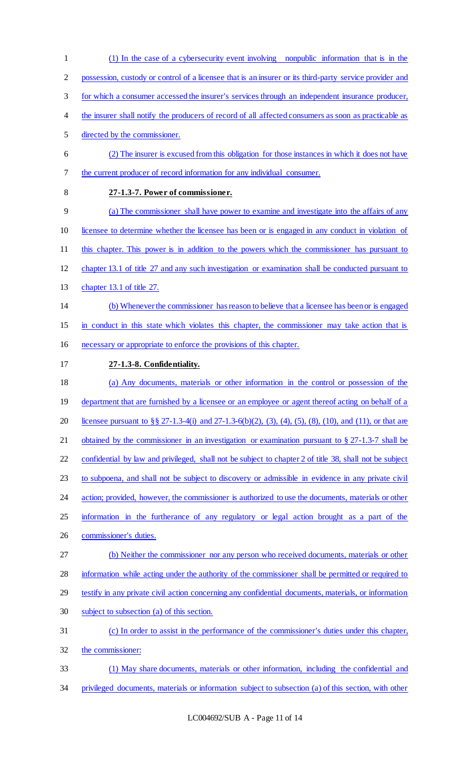(1) In the case of a cybersecurity event involving nonpublic information that is in the possession, custody or control of a licensee that is an insurer or its third-party service provider and for which a consumer accessed the insurer's services through an independent insurance producer, the insurer shall notify the producers of record of all affected consumers as soon as practicable as directed by the commissioner. (2) The insurer is excused from this obligation for those instances in which it does not have the current producer of record information for any individual consumer. **27-1.3-7. Power of commissioner.**  (a) The commissioner shall have power to examine and investigate into the affairs of any licensee to determine whether the licensee has been or is engaged in any conduct in violation of this chapter. This power is in addition to the powers which the commissioner has pursuant to chapter 13.1 of title 27 and any such investigation or examination shall be conducted pursuant to chapter 13.1 of title 27. (b) Whenever the commissioner has reason to believe that a licensee has been or is engaged in conduct in this state which violates this chapter, the commissioner may take action that is necessary or appropriate to enforce the provisions of this chapter. **27-1.3-8. Confidentiality.**  (a) Any documents, materials or other information in the control or possession of the 19 department that are furnished by a licensee or an employee or agent thereof acting on behalf of a licensee pursuant to §§ 27-1.3-4(i) and 27-1.3-6(b)(2), (3), (4), (5), (8), (10), and (11), or that are obtained by the commissioner in an investigation or examination pursuant to § 27-1.3-7 shall be confidential by law and privileged, shall not be subject to chapter 2 of title 38, shall not be subject to subpoena, and shall not be subject to discovery or admissible in evidence in any private civil 24 action; provided, however, the commissioner is authorized to use the documents, materials or other 25 information in the furtherance of any regulatory or legal action brought as a part of the commissioner's duties. (b) Neither the commissioner nor any person who received documents, materials or other information while acting under the authority of the commissioner shall be permitted or required to testify in any private civil action concerning any confidential documents, materials, or information subject to subsection (a) of this section. (c) In order to assist in the performance of the commissioner's duties under this chapter, the commissioner: (1) May share documents, materials or other information, including the confidential and privileged documents, materials or information subject to subsection (a) of this section, with other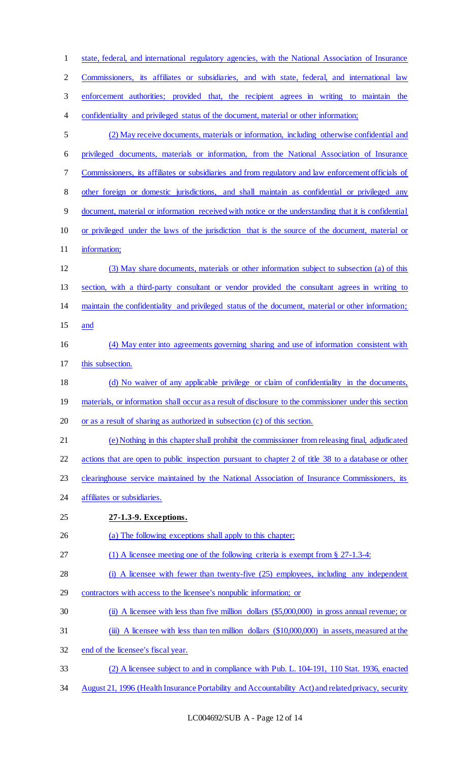| $\mathbf{1}$   | state, federal, and international regulatory agencies, with the National Association of Insurance      |
|----------------|--------------------------------------------------------------------------------------------------------|
| $\overline{2}$ | Commissioners, its affiliates or subsidiaries, and with state, federal, and international law          |
| 3              | enforcement authorities; provided that, the recipient agrees in writing to maintain the                |
| $\overline{4}$ | confidentiality and privileged status of the document, material or other information;                  |
| 5              | (2) May receive documents, materials or information, including otherwise confidential and              |
| 6              | privileged documents, materials or information, from the National Association of Insurance             |
| 7              | Commissioners, its affiliates or subsidiaries and from regulatory and law enforcement officials of     |
| 8              | other foreign or domestic jurisdictions, and shall maintain as confidential or privileged any          |
| $\overline{9}$ | document, material or information received with notice or the understanding that it is confidential    |
| 10             | or privileged under the laws of the jurisdiction that is the source of the document, material or       |
| 11             | information;                                                                                           |
| 12             | (3) May share documents, materials or other information subject to subsection (a) of this              |
| 13             | section, with a third-party consultant or vendor provided the consultant agrees in writing to          |
| 14             | maintain the confidentiality and privileged status of the document, material or other information;     |
| 15             | and                                                                                                    |
| 16             | (4) May enter into agreements governing sharing and use of information consistent with                 |
| 17             | this subsection.                                                                                       |
| 18             | (d) No waiver of any applicable privilege or claim of confidentiality in the documents,                |
| 19             | materials, or information shall occur as a result of disclosure to the commissioner under this section |
| 20             | or as a result of sharing as authorized in subsection (c) of this section.                             |
| 21             | (e) Nothing in this chapter shall prohibit the commissioner from releasing final, adjudicated          |
| 22             | actions that are open to public inspection pursuant to chapter 2 of title 38 to a database or other    |
| 23             | clearinghouse service maintained by the National Association of Insurance Commissioners, its           |
| 24             | affiliates or subsidiaries.                                                                            |
| 25             | 27-1.3-9. Exceptions.                                                                                  |
| 26             | (a) The following exceptions shall apply to this chapter:                                              |
| 27             | (1) A licensee meeting one of the following criteria is exempt from $\S 27-1.3-4$ :                    |
| 28             | (i) A licensee with fewer than twenty-five (25) employees, including any independent                   |
| 29             | contractors with access to the licensee's nonpublic information; or                                    |
| 30             | (ii) A licensee with less than five million dollars (\$5,000,000) in gross annual revenue; or          |
| 31             | (iii) A licensee with less than ten million dollars (\$10,000,000) in assets, measured at the          |
| 32             | end of the licensee's fiscal year.                                                                     |
| 33             | (2) A licensee subject to and in compliance with Pub. L. 104-191, 110 Stat. 1936, enacted              |
| 34             | August 21, 1996 (Health Insurance Portability and Accountability Act) and related privacy, security    |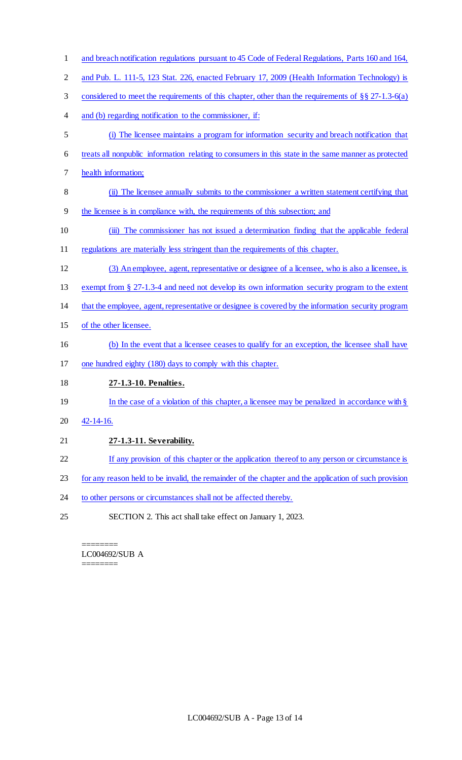- 1 and breach notification regulations pursuant to 45 Code of Federal Regulations, Parts 160 and 164, 2 and Pub. L. 111-5, 123 Stat. 226, enacted February 17, 2009 (Health Information Technology) is considered to meet the requirements of this chapter, other than the requirements of §§ 27-1.3-6(a) and (b) regarding notification to the commissioner, if: (i) The licensee maintains a program for information security and breach notification that treats all nonpublic information relating to consumers in this state in the same manner as protected health information; (ii) The licensee annually submits to the commissioner a written statement certifying that the licensee is in compliance with, the requirements of this subsection; and (iii) The commissioner has not issued a determination finding that the applicable federal regulations are materially less stringent than the requirements of this chapter. (3) An employee, agent, representative or designee of a licensee, who is also a licensee, is exempt from § 27-1.3-4 and need not develop its own information security program to the extent that the employee, agent, representative or designee is covered by the information security program of the other licensee. (b) In the event that a licensee ceases to qualify for an exception, the licensee shall have one hundred eighty (180) days to comply with this chapter. **27-1.3-10. Penalties.**  19 In the case of a violation of this chapter, a licensee may be penalized in accordance with § 42-14-16. **27-1.3-11. Severability.**  22 If any provision of this chapter or the application thereof to any person or circumstance is for any reason held to be invalid, the remainder of the chapter and the application of such provision 24 to other persons or circumstances shall not be affected thereby.
- SECTION 2. This act shall take effect on January 1, 2023.

======== LC004692/SUB A ========